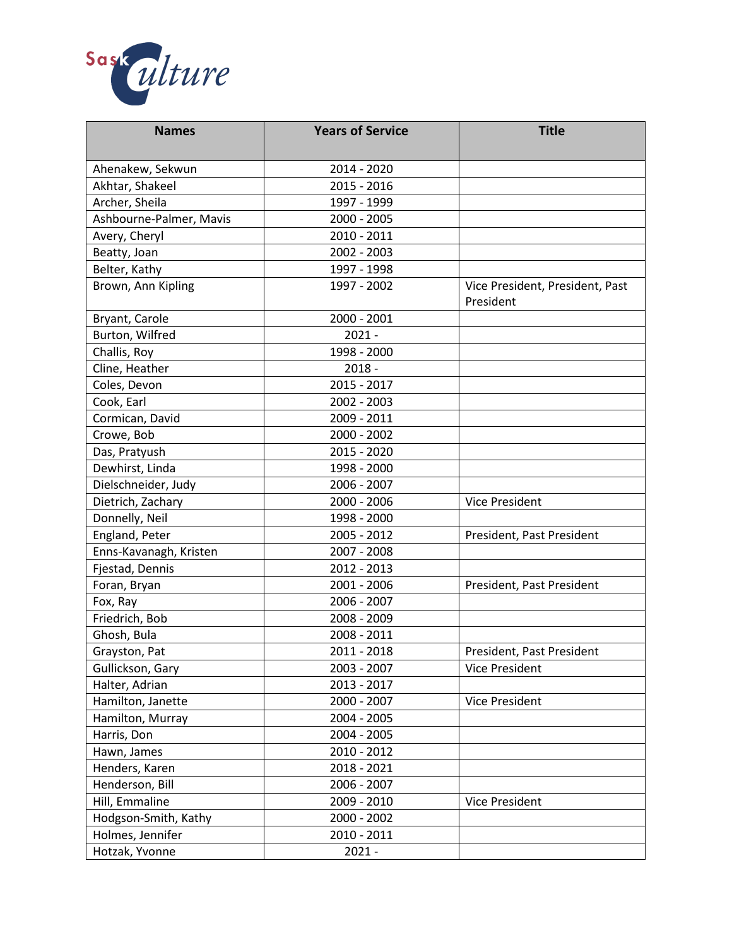

| <b>Names</b>            | <b>Years of Service</b> | <b>Title</b>                                 |
|-------------------------|-------------------------|----------------------------------------------|
| Ahenakew, Sekwun        | 2014 - 2020             |                                              |
| Akhtar, Shakeel         | 2015 - 2016             |                                              |
| Archer, Sheila          | 1997 - 1999             |                                              |
| Ashbourne-Palmer, Mavis | 2000 - 2005             |                                              |
| Avery, Cheryl           | 2010 - 2011             |                                              |
| Beatty, Joan            | 2002 - 2003             |                                              |
| Belter, Kathy           | 1997 - 1998             |                                              |
| Brown, Ann Kipling      | 1997 - 2002             | Vice President, President, Past<br>President |
| Bryant, Carole          | 2000 - 2001             |                                              |
| Burton, Wilfred         | $2021 -$                |                                              |
| Challis, Roy            | 1998 - 2000             |                                              |
| Cline, Heather          | $2018 -$                |                                              |
| Coles, Devon            | 2015 - 2017             |                                              |
| Cook, Earl              | 2002 - 2003             |                                              |
| Cormican, David         | 2009 - 2011             |                                              |
| Crowe, Bob              | 2000 - 2002             |                                              |
| Das, Pratyush           | 2015 - 2020             |                                              |
| Dewhirst, Linda         | 1998 - 2000             |                                              |
| Dielschneider, Judy     | 2006 - 2007             |                                              |
| Dietrich, Zachary       | 2000 - 2006             | Vice President                               |
| Donnelly, Neil          | 1998 - 2000             |                                              |
| England, Peter          | 2005 - 2012             | President, Past President                    |
| Enns-Kavanagh, Kristen  | 2007 - 2008             |                                              |
| Fjestad, Dennis         | 2012 - 2013             |                                              |
| Foran, Bryan            | 2001 - 2006             | President, Past President                    |
| Fox, Ray                | 2006 - 2007             |                                              |
| Friedrich, Bob          | 2008 - 2009             |                                              |
| Ghosh, Bula             | 2008 - 2011             |                                              |
| Grayston, Pat           | 2011 - 2018             | President, Past President                    |
| Gullickson, Gary        | 2003 - 2007             | Vice President                               |
| Halter, Adrian          | 2013 - 2017             |                                              |
| Hamilton, Janette       | 2000 - 2007             | <b>Vice President</b>                        |
| Hamilton, Murray        | 2004 - 2005             |                                              |
| Harris, Don             | 2004 - 2005             |                                              |
| Hawn, James             | 2010 - 2012             |                                              |
| Henders, Karen          | 2018 - 2021             |                                              |
| Henderson, Bill         | 2006 - 2007             |                                              |
| Hill, Emmaline          | 2009 - 2010             | Vice President                               |
| Hodgson-Smith, Kathy    | 2000 - 2002             |                                              |
| Holmes, Jennifer        | 2010 - 2011             |                                              |
| Hotzak, Yvonne          | $2021 -$                |                                              |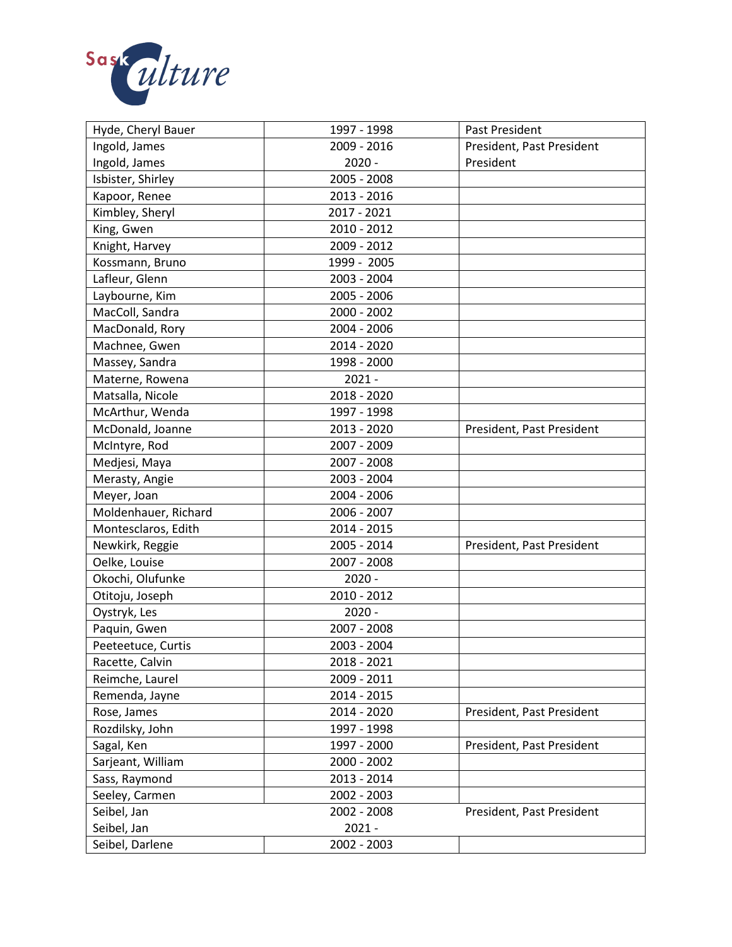

| Ingold, James<br>2009 - 2016<br>President, Past President<br>Ingold, James<br>$2020 -$<br>President<br>Isbister, Shirley<br>2005 - 2008<br>Kapoor, Renee<br>2013 - 2016<br>Kimbley, Sheryl<br>2017 - 2021<br>King, Gwen<br>2010 - 2012<br>Knight, Harvey<br>2009 - 2012<br>Kossmann, Bruno<br>1999 - 2005<br>Lafleur, Glenn<br>2003 - 2004<br>Laybourne, Kim<br>2005 - 2006<br>MacColl, Sandra<br>2000 - 2002<br>MacDonald, Rory<br>2004 - 2006<br>Machnee, Gwen<br>2014 - 2020<br>Massey, Sandra<br>1998 - 2000<br>Materne, Rowena<br>$2021 -$<br>Matsalla, Nicole<br>2018 - 2020<br>McArthur, Wenda<br>1997 - 1998<br>McDonald, Joanne<br>2013 - 2020<br>President, Past President<br>McIntyre, Rod<br>2007 - 2009<br>Medjesi, Maya<br>2007 - 2008<br>2003 - 2004<br>Merasty, Angie<br>Meyer, Joan<br>2004 - 2006<br>Moldenhauer, Richard<br>2006 - 2007 |
|------------------------------------------------------------------------------------------------------------------------------------------------------------------------------------------------------------------------------------------------------------------------------------------------------------------------------------------------------------------------------------------------------------------------------------------------------------------------------------------------------------------------------------------------------------------------------------------------------------------------------------------------------------------------------------------------------------------------------------------------------------------------------------------------------------------------------------------------------------|
|                                                                                                                                                                                                                                                                                                                                                                                                                                                                                                                                                                                                                                                                                                                                                                                                                                                            |
|                                                                                                                                                                                                                                                                                                                                                                                                                                                                                                                                                                                                                                                                                                                                                                                                                                                            |
|                                                                                                                                                                                                                                                                                                                                                                                                                                                                                                                                                                                                                                                                                                                                                                                                                                                            |
|                                                                                                                                                                                                                                                                                                                                                                                                                                                                                                                                                                                                                                                                                                                                                                                                                                                            |
|                                                                                                                                                                                                                                                                                                                                                                                                                                                                                                                                                                                                                                                                                                                                                                                                                                                            |
|                                                                                                                                                                                                                                                                                                                                                                                                                                                                                                                                                                                                                                                                                                                                                                                                                                                            |
|                                                                                                                                                                                                                                                                                                                                                                                                                                                                                                                                                                                                                                                                                                                                                                                                                                                            |
|                                                                                                                                                                                                                                                                                                                                                                                                                                                                                                                                                                                                                                                                                                                                                                                                                                                            |
|                                                                                                                                                                                                                                                                                                                                                                                                                                                                                                                                                                                                                                                                                                                                                                                                                                                            |
|                                                                                                                                                                                                                                                                                                                                                                                                                                                                                                                                                                                                                                                                                                                                                                                                                                                            |
|                                                                                                                                                                                                                                                                                                                                                                                                                                                                                                                                                                                                                                                                                                                                                                                                                                                            |
|                                                                                                                                                                                                                                                                                                                                                                                                                                                                                                                                                                                                                                                                                                                                                                                                                                                            |
|                                                                                                                                                                                                                                                                                                                                                                                                                                                                                                                                                                                                                                                                                                                                                                                                                                                            |
|                                                                                                                                                                                                                                                                                                                                                                                                                                                                                                                                                                                                                                                                                                                                                                                                                                                            |
|                                                                                                                                                                                                                                                                                                                                                                                                                                                                                                                                                                                                                                                                                                                                                                                                                                                            |
|                                                                                                                                                                                                                                                                                                                                                                                                                                                                                                                                                                                                                                                                                                                                                                                                                                                            |
|                                                                                                                                                                                                                                                                                                                                                                                                                                                                                                                                                                                                                                                                                                                                                                                                                                                            |
|                                                                                                                                                                                                                                                                                                                                                                                                                                                                                                                                                                                                                                                                                                                                                                                                                                                            |
|                                                                                                                                                                                                                                                                                                                                                                                                                                                                                                                                                                                                                                                                                                                                                                                                                                                            |
|                                                                                                                                                                                                                                                                                                                                                                                                                                                                                                                                                                                                                                                                                                                                                                                                                                                            |
|                                                                                                                                                                                                                                                                                                                                                                                                                                                                                                                                                                                                                                                                                                                                                                                                                                                            |
|                                                                                                                                                                                                                                                                                                                                                                                                                                                                                                                                                                                                                                                                                                                                                                                                                                                            |
|                                                                                                                                                                                                                                                                                                                                                                                                                                                                                                                                                                                                                                                                                                                                                                                                                                                            |
| Montesclaros, Edith<br>2014 - 2015                                                                                                                                                                                                                                                                                                                                                                                                                                                                                                                                                                                                                                                                                                                                                                                                                         |
| 2005 - 2014<br>Newkirk, Reggie<br>President, Past President                                                                                                                                                                                                                                                                                                                                                                                                                                                                                                                                                                                                                                                                                                                                                                                                |
| Oelke, Louise<br>2007 - 2008                                                                                                                                                                                                                                                                                                                                                                                                                                                                                                                                                                                                                                                                                                                                                                                                                               |
| Okochi, Olufunke<br>$2020 -$                                                                                                                                                                                                                                                                                                                                                                                                                                                                                                                                                                                                                                                                                                                                                                                                                               |
| Otitoju, Joseph<br>2010 - 2012                                                                                                                                                                                                                                                                                                                                                                                                                                                                                                                                                                                                                                                                                                                                                                                                                             |
| $2020 -$<br>Oystryk, Les                                                                                                                                                                                                                                                                                                                                                                                                                                                                                                                                                                                                                                                                                                                                                                                                                                   |
| Paquin, Gwen<br>2007 - 2008                                                                                                                                                                                                                                                                                                                                                                                                                                                                                                                                                                                                                                                                                                                                                                                                                                |
| Peeteetuce, Curtis<br>2003 - 2004                                                                                                                                                                                                                                                                                                                                                                                                                                                                                                                                                                                                                                                                                                                                                                                                                          |
| Racette, Calvin<br>2018 - 2021                                                                                                                                                                                                                                                                                                                                                                                                                                                                                                                                                                                                                                                                                                                                                                                                                             |
| 2009 - 2011<br>Reimche, Laurel                                                                                                                                                                                                                                                                                                                                                                                                                                                                                                                                                                                                                                                                                                                                                                                                                             |
| 2014 - 2015<br>Remenda, Jayne                                                                                                                                                                                                                                                                                                                                                                                                                                                                                                                                                                                                                                                                                                                                                                                                                              |
| Rose, James<br>2014 - 2020<br>President, Past President                                                                                                                                                                                                                                                                                                                                                                                                                                                                                                                                                                                                                                                                                                                                                                                                    |
| Rozdilsky, John<br>1997 - 1998                                                                                                                                                                                                                                                                                                                                                                                                                                                                                                                                                                                                                                                                                                                                                                                                                             |
| 1997 - 2000<br>President, Past President<br>Sagal, Ken                                                                                                                                                                                                                                                                                                                                                                                                                                                                                                                                                                                                                                                                                                                                                                                                     |
| Sarjeant, William<br>2000 - 2002                                                                                                                                                                                                                                                                                                                                                                                                                                                                                                                                                                                                                                                                                                                                                                                                                           |
| Sass, Raymond<br>2013 - 2014                                                                                                                                                                                                                                                                                                                                                                                                                                                                                                                                                                                                                                                                                                                                                                                                                               |
| Seeley, Carmen<br>2002 - 2003                                                                                                                                                                                                                                                                                                                                                                                                                                                                                                                                                                                                                                                                                                                                                                                                                              |
| Seibel, Jan<br>2002 - 2008<br>President, Past President                                                                                                                                                                                                                                                                                                                                                                                                                                                                                                                                                                                                                                                                                                                                                                                                    |
| Seibel, Jan<br>$2021 -$                                                                                                                                                                                                                                                                                                                                                                                                                                                                                                                                                                                                                                                                                                                                                                                                                                    |
| 2002 - 2003<br>Seibel, Darlene                                                                                                                                                                                                                                                                                                                                                                                                                                                                                                                                                                                                                                                                                                                                                                                                                             |